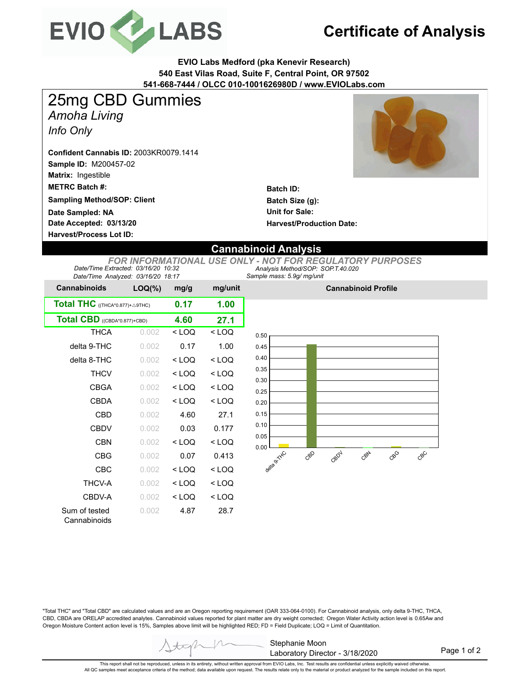

## **Certificate of Analysis**

**EVIO Labs Medford (pka Kenevir Research) 540 East Vilas Road, Suite F, Central Point, OR 97502 541-668-7444 / OLCC 010-1001626980D / www.EVIOLabs.com**

*Amoha Living Info Only* 25mg CBD Gummies

**Sample ID:** M200457-02 **Matrix:** Ingestible **Confident Cannabis ID:** 2003KR0079.1414

**METRC Batch #:** 

**Sampling Method/SOP: Client**

**Date Accepted: 03/13/20 Date Sampled: NA**

**Harvest/Process Lot ID:** 

**Batch ID: Batch Size (g): Unit for Sale: Harvest/Production Date:** 

## **Cannabinoid Analysis**

*Sample mass: 5.9g/ mg/unit Analysis Method/SOP: SOP.T.40.020 FOR INFORMATIONAL USE ONLY - NOT FOR REGULATORY PURPOSES Date/Time Extracted: 03/16/20 10:32 Date/Time Analyzed: 03/16/20 18:17*

| <b>Cannabinoids</b>             | $LOQ(\%)$ | mg/g    | mg/unit |  |
|---------------------------------|-----------|---------|---------|--|
| Total THC ((THCA*0.877)+ A9THC) | 0.17      | 1.00    |         |  |
| Total CBD ((CBDA*0.877)+CBD)    | 4.60      | 27.1    |         |  |
| THCA                            | 0.002     | < LOQ   | $<$ LOQ |  |
| delta 9-THC                     | 0.002     | 0.17    | 1.00    |  |
| delta 8-THC                     | 0.002     | < LOQ   | $<$ LOQ |  |
| <b>THCV</b>                     | 0.002     | < LOQ   | $<$ LOQ |  |
| CBGA                            | 0.002     | $<$ LOQ | $<$ LOQ |  |
| CBDA                            | 0.002     | $<$ LOQ | $<$ LOQ |  |
| CBD                             | 0.002     | 4.60    | 27.1    |  |
| <b>CBDV</b>                     | 0.002     | 0.03    | 0.177   |  |
| <b>CBN</b>                      | 0.002     | $<$ LOQ | $<$ LOQ |  |
| <b>CBG</b>                      | 0.002     | 0.07    | 0.413   |  |
| CBC                             | 0.002     | < LOQ   | $<$ LOQ |  |
| <b>THCV-A</b>                   | 0.002     | < LOQ   | < LOQ   |  |
| CBDV-A                          | 0.002     | < LOQ   | $<$ LOQ |  |
| Sum of tested<br>Cannabinoids   | 0.002     | 4.87    | 28.7    |  |



**Cannabinoid Profile**

"Total THC" and "Total CBD" are calculated values and are an Oregon reporting requirement (OAR 333-064-0100). For Cannabinoid analysis, only delta 9-THC, THCA, CBD, CBDA are ORELAP accredited analytes. Cannabinoid values reported for plant matter are dry weight corrected; Oregon Water Activity action level is 0.65Aw and Oregon Moisture Content action level is 15%, Samples above limit will be highlighted RED; FD = Field Duplicate; LOQ = Limit of Quantitation.

Stephanie Moon Laboratory Director - 3/18/2020

Page 1 of 2

This report shall not be reproduced, unless in its entirety, without written approval from EVIO Labs, Inc. Test results are confidential unless explicitly waived otherwise. All QC samples meet acceptance criteria of the method; data available upon request. The results relate only to the material or product analyzed for the sample included on this report.